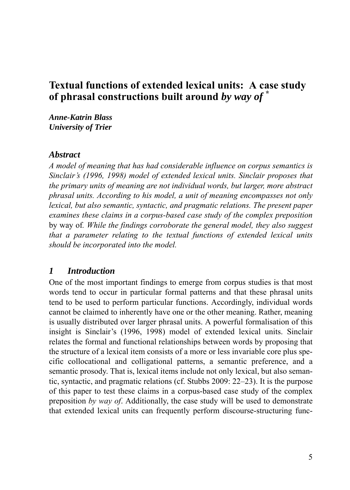# **Textual functions of extended lexical units: A case study of phrasal constructions built around** *by way of* **\***

*Anne-Katrin Blass University of Trier*

#### *Abstract*

*A model of meaning that has had considerable influence on corpus semantics is Sinclair's (1996, 1998) model of extended lexical units. Sinclair proposes that the primary units of meaning are not individual words, but larger, more abstract phrasal units. According to his model, a unit of meaning encompasses not only lexical, but also semantic, syntactic, and pragmatic relations. The present paper examines these claims in a corpus-based case study of the complex preposition* by way of*. While the findings corroborate the general model, they also suggest that a parameter relating to the textual functions of extended lexical units should be incorporated into the model.*

#### *1 Introduction*

One of the most important findings to emerge from corpus studies is that most words tend to occur in particular formal patterns and that these phrasal units tend to be used to perform particular functions. Accordingly, individual words cannot be claimed to inherently have one or the other meaning. Rather, meaning is usually distributed over larger phrasal units. A powerful formalisation of this insight is Sinclair's (1996, 1998) model of extended lexical units. Sinclair relates the formal and functional relationships between words by proposing that the structure of a lexical item consists of a more or less invariable core plus specific collocational and colligational patterns, a semantic preference, and a semantic prosody. That is, lexical items include not only lexical, but also semantic, syntactic, and pragmatic relations (cf. Stubbs 2009: 22–23). It is the purpose of this paper to test these claims in a corpus-based case study of the complex preposition *by way of*. Additionally, the case study will be used to demonstrate that extended lexical units can frequently perform discourse-structuring func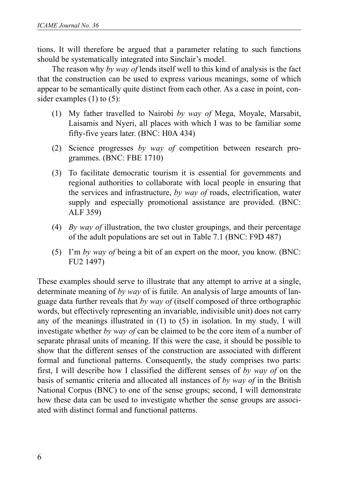tions. It will therefore be argued that a parameter relating to such functions should be systematically integrated into Sinclair's model.

 The reason why *by way of* lends itself well to this kind of analysis is the fact that the construction can be used to express various meanings, some of which appear to be semantically quite distinct from each other. As a case in point, consider examples (1) to (5):

- (1) My father travelled to Nairobi *by way of* Mega, Moyale, Marsabit, Laisamis and Nyeri, all places with which I was to be familiar some fifty-five years later. (BNC: H0A 434)
- (2) Science progresses *by way of* competition between research programmes. (BNC: FBE 1710)
- (3) To facilitate democratic tourism it is essential for governments and regional authorities to collaborate with local people in ensuring that the services and infrastructure, *by way of* roads, electrification, water supply and especially promotional assistance are provided. (BNC: ALF 359)
- (4) *By way of* illustration, the two cluster groupings, and their percentage of the adult populations are set out in Table 7.1 (BNC: F9D 487)
- (5) I'm *by way of* being a bit of an expert on the moor, you know. (BNC: FU2 1497)

These examples should serve to illustrate that any attempt to arrive at a single, determinate meaning of *by way* of is futile. An analysis of large amounts of language data further reveals that *by way of* (itself composed of three orthographic words, but effectively representing an invariable, indivisible unit) does not carry any of the meanings illustrated in (1) to (5) in isolation. In my study, I will investigate whether *by way of* can be claimed to be the core item of a number of separate phrasal units of meaning. If this were the case, it should be possible to show that the different senses of the construction are associated with different formal and functional patterns. Consequently, the study comprises two parts: first, I will describe how I classified the different senses of *by way of* on the basis of semantic criteria and allocated all instances of *by way of* in the British National Corpus (BNC) to one of the sense groups; second, I will demonstrate how these data can be used to investigate whether the sense groups are associated with distinct formal and functional patterns.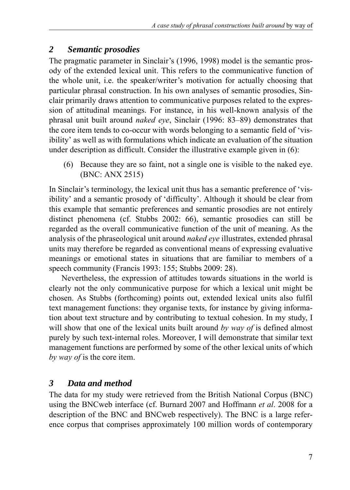# *2 Semantic prosodies*

The pragmatic parameter in Sinclair's (1996, 1998) model is the semantic prosody of the extended lexical unit. This refers to the communicative function of the whole unit, i.e. the speaker/writer's motivation for actually choosing that particular phrasal construction. In his own analyses of semantic prosodies, Sinclair primarily draws attention to communicative purposes related to the expression of attitudinal meanings. For instance, in his well-known analysis of the phrasal unit built around *naked eye*, Sinclair (1996: 83–89) demonstrates that the core item tends to co-occur with words belonging to a semantic field of 'visibility' as well as with formulations which indicate an evaluation of the situation under description as difficult. Consider the illustrative example given in (6):

 (6) Because they are so faint, not a single one is visible to the naked eye. (BNC: ANX 2515)

In Sinclair's terminology, the lexical unit thus has a semantic preference of 'visibility' and a semantic prosody of 'difficulty'. Although it should be clear from this example that semantic preferences and semantic prosodies are not entirely distinct phenomena (cf. Stubbs 2002: 66), semantic prosodies can still be regarded as the overall communicative function of the unit of meaning. As the analysis of the phraseological unit around *naked eye* illustrates, extended phrasal units may therefore be regarded as conventional means of expressing evaluative meanings or emotional states in situations that are familiar to members of a speech community (Francis 1993: 155; Stubbs 2009: 28).

Nevertheless, the expression of attitudes towards situations in the world is clearly not the only communicative purpose for which a lexical unit might be chosen. As Stubbs (forthcoming) points out, extended lexical units also fulfil text management functions: they organise texts, for instance by giving information about text structure and by contributing to textual cohesion. In my study, I will show that one of the lexical units built around *by way of* is defined almost purely by such text-internal roles. Moreover, I will demonstrate that similar text management functions are performed by some of the other lexical units of which *by way of* is the core item.

# *3 Data and method*

The data for my study were retrieved from the British National Corpus (BNC) using the BNCweb interface (cf. Burnard 2007 and Hoffmann *et al*. 2008 for a description of the BNC and BNCweb respectively). The BNC is a large reference corpus that comprises approximately 100 million words of contemporary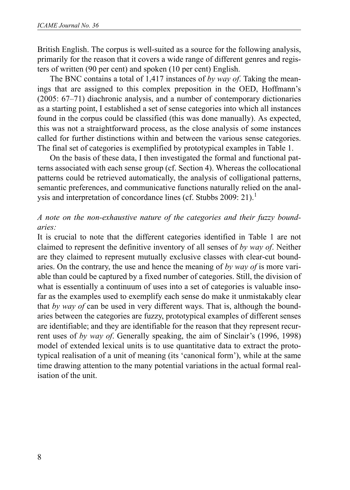British English. The corpus is well-suited as a source for the following analysis, primarily for the reason that it covers a wide range of different genres and registers of written (90 per cent) and spoken (10 per cent) English.

The BNC contains a total of 1,417 instances of *by way of*. Taking the meanings that are assigned to this complex preposition in the OED, Hoffmann's (2005: 67–71) diachronic analysis, and a number of contemporary dictionaries as a starting point, I established a set of sense categories into which all instances found in the corpus could be classified (this was done manually). As expected, this was not a straightforward process, as the close analysis of some instances called for further distinctions within and between the various sense categories. The final set of categories is exemplified by prototypical examples in Table 1.

On the basis of these data, I then investigated the formal and functional patterns associated with each sense group (cf. Section 4). Whereas the collocational patterns could be retrieved automatically, the analysis of colligational patterns, semantic preferences, and communicative functions naturally relied on the analysis and interpretation of concordance lines (cf. Stubbs 2009: 21).<sup>1</sup>

### *A note on the non-exhaustive nature of the categories and their fuzzy boundaries:*

It is crucial to note that the different categories identified in Table 1 are not claimed to represent the definitive inventory of all senses of *by way of*. Neither are they claimed to represent mutually exclusive classes with clear-cut boundaries. On the contrary, the use and hence the meaning of *by way of* is more variable than could be captured by a fixed number of categories. Still, the division of what is essentially a continuum of uses into a set of categories is valuable insofar as the examples used to exemplify each sense do make it unmistakably clear that *by way of* can be used in very different ways. That is, although the boundaries between the categories are fuzzy, prototypical examples of different senses are identifiable; and they are identifiable for the reason that they represent recurrent uses of *by way of*. Generally speaking, the aim of Sinclair's (1996, 1998) model of extended lexical units is to use quantitative data to extract the prototypical realisation of a unit of meaning (its 'canonical form'), while at the same time drawing attention to the many potential variations in the actual formal realisation of the unit.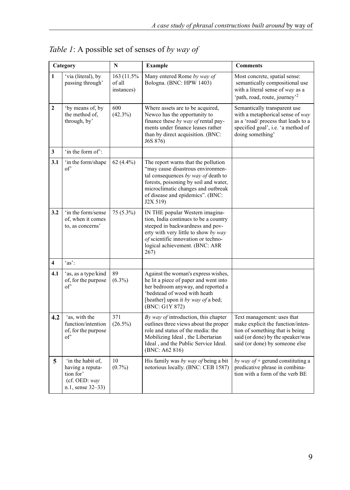|                         | Category                                                                                   | N                                   | <b>Example</b>                                                                                                                                                                                                                                 | <b>Comments</b>                                                                                                                                                           |
|-------------------------|--------------------------------------------------------------------------------------------|-------------------------------------|------------------------------------------------------------------------------------------------------------------------------------------------------------------------------------------------------------------------------------------------|---------------------------------------------------------------------------------------------------------------------------------------------------------------------------|
| $\mathbf{1}$            | 'via (literal), by<br>passing through'                                                     | 163 (11.5%)<br>of all<br>instances) | Many entered Rome by way of<br>Bologna. (BNC: HPW 1403)                                                                                                                                                                                        | Most concrete, spatial sense:<br>semantically compositional use<br>with a literal sense of way as a<br>'path, road, route, journey' <sup>2</sup>                          |
| $\mathbf{2}$            | 'by means of, by<br>the method of,<br>through, by'                                         | 600<br>$(42.3\%)$                   | Where assets are to be acquired,<br>Newco has the opportunity to<br>finance these by way of rental pay-<br>ments under finance leases rather<br>than by direct acquisition. (BNC:<br>J6S 876)                                                  | Semantically transparent use<br>with a metaphorical sense of way<br>as a 'road/ process that leads to a<br>specified goal', i.e. 'a method of<br>doing something'         |
| 3                       | 'in the form of':                                                                          |                                     |                                                                                                                                                                                                                                                |                                                                                                                                                                           |
| 3.1                     | in the form/shape<br>of'                                                                   | 62 $(4.4\%)$                        | The report warns that the pollution<br>"may cause disastrous environmen-<br>tal consequences by way of death to<br>forests, poisoning by soil and water,<br>microclimatic changes and outbreak<br>of disease and epidemics". (BNC:<br>J2X 519) |                                                                                                                                                                           |
| 3.2                     | 'in the form/sense<br>of, when it comes<br>to, as concerns'                                | 75 (5.3%)                           | IN THE popular Western imagina-<br>tion, India continues to be a country<br>steeped in backwardness and pov-<br>erty with very little to show by way<br>of scientific innovation or techno-<br>logical achievement. (BNC: A8R<br>267)          |                                                                                                                                                                           |
| $\overline{\mathbf{4}}$ | $'as'$ :                                                                                   |                                     |                                                                                                                                                                                                                                                |                                                                                                                                                                           |
| 4.1                     | 'as, as a type/kind<br>of, for the purpose<br>of'                                          | 89<br>$(6.3\%)$                     | Against the woman's express wishes,<br>he lit a piece of paper and went into<br>her bedroom anyway, and reported a<br>'bedstead of wood with heath<br>[heather] upon it by way of a bed;<br>(BNC: G1Y 872)                                     |                                                                                                                                                                           |
| 4.2                     | 'as, with the<br>function/intention<br>of, for the purpose<br>of'                          | 371<br>$(26.5\%)$                   | By way of introduction, this chapter<br>outlines three views about the proper<br>role and status of the media: the<br>Mobilizing Ideal, the Libertarian<br>Ideal, and the Public Service Ideal.<br>(BNC: A62 816)                              | Text management: uses that<br>make explicit the function/inten-<br>tion of something that is being<br>said (or done) by the speaker/was<br>said (or done) by someone else |
| 5                       | 'in the habit of.<br>having a reputa-<br>tion for'<br>(cf. OED: $way$<br>n.1, sense 32-33) | 10<br>$(0.7\%)$                     | His family was by way of being a bit<br>notorious locally. (BNC: CEB 1587)                                                                                                                                                                     | by way of $+$ gerund constituting a<br>predicative phrase in combina-<br>tion with a form of the verb BE                                                                  |

*Table 1*: A possible set of senses of *by way of*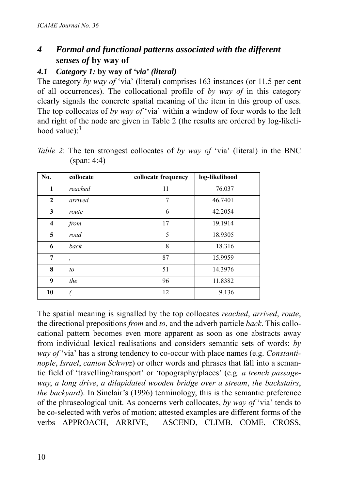# *4 Formal and functional patterns associated with the different senses of* **by way of**

### *4.1 Category 1:* **by way of** *'via' (literal)*

The category *by way of* 'via' (literal) comprises 163 instances (or 11.5 per cent of all occurrences). The collocational profile of *by way of* in this category clearly signals the concrete spatial meaning of the item in this group of uses. The top collocates of *by way of* 'via' within a window of four words to the left and right of the node are given in Table 2 (the results are ordered by log-likelihood value): $3$ 

| No.                     | collocate | collocate frequency | log-likelihood |
|-------------------------|-----------|---------------------|----------------|
| 1                       | reached   | 11                  | 76.037         |
| $\overline{2}$          | arrived   | 7                   | 46.7401        |
| 3                       | route     | 6                   | 42.2054        |
| $\overline{\mathbf{4}}$ | from      | 17                  | 19.1914        |
| 5                       | road      | 5                   | 18.9305        |
| 6                       | back      | 8                   | 18.316         |
| 7                       | ,         | 87                  | 15.9959        |
| 8                       | to        | 51                  | 14.3976        |
| 9                       | the       | 96                  | 11.8382        |
| 10                      |           | 12                  | 9.136          |

*Table 2*: The ten strongest collocates of *by way of* 'via' (literal) in the BNC (span: 4:4)

The spatial meaning is signalled by the top collocates *reached*, *arrived*, *route*, the directional prepositions *from* and *to*, and the adverb particle *back*. This collocational pattern becomes even more apparent as soon as one abstracts away from individual lexical realisations and considers semantic sets of words: *by way of* 'via' has a strong tendency to co-occur with place names (e.g. *Constantinople*, *Israel*, *canton Schwyz*) or other words and phrases that fall into a semantic field of 'travelling/transport' or 'topography/places' (e.g. *a trench passageway*, *a long drive*, *a dilapidated wooden bridge over a stream*, *the backstairs*, *the backyard*). In Sinclair's (1996) terminology, this is the semantic preference of the phraseological unit. As concerns verb collocates, *by way of* 'via' tends to be co-selected with verbs of motion; attested examples are different forms of the verbs APPROACH, ARRIVE, ASCEND, CLIMB, COME, CROSS,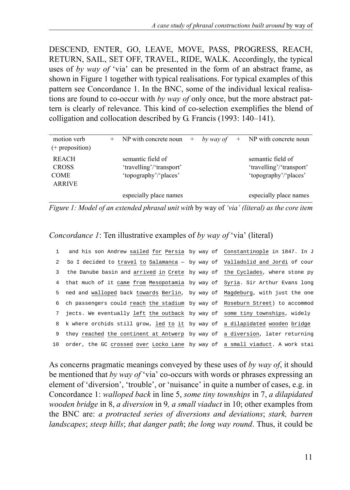DESCEND, ENTER, GO, LEAVE, MOVE, PASS, PROGRESS, REACH, RETURN, SAIL, SET OFF, TRAVEL, RIDE, WALK. Accordingly, the typical uses of *by way of* 'via' can be presented in the form of an abstract frame, as shown in Figure 1 together with typical realisations. For typical examples of this pattern see Concordance 1. In the BNC, some of the individual lexical realisations are found to co-occur with *by way of* only once, but the more abstract pattern is clearly of relevance. This kind of co-selection exemplifies the blend of colligation and collocation described by G. Francis (1993: 140–141).

| motion verb<br>$(+$ preposition)                             | $+$ | NP with concrete noun $+$ by way of $+$ NP with concrete noun          |  |                                                                        |
|--------------------------------------------------------------|-----|------------------------------------------------------------------------|--|------------------------------------------------------------------------|
| <b>REACH</b><br><b>CROSS</b><br><b>COME</b><br><b>ARRIVE</b> |     | semantic field of<br>'travelling'/'transport'<br>'topography'/'places' |  | semantic field of<br>'travelling'/'transport'<br>'topography'/'places' |
|                                                              |     | especially place names                                                 |  | especially place names                                                 |

*Figure 1: Model of an extended phrasal unit with* by way of *'via' (literal) as the core item*

*Concordance 1*: Ten illustrative examples of *by way of* 'via' (literal)

| $\mathbf{1}$ | and his son Andrew sailed for Persia by way of Constantinople in 1847. In J     |  |
|--------------|---------------------------------------------------------------------------------|--|
| 2            | So I decided to travel to Salamanca - by way of Valladolid and Jordi of cour    |  |
| 3            | the Danube basin and arrived in Crete by way of the Cyclades, where stone py    |  |
|              | 4 that much of it came from Mesopotamia by way of Syria. Sir Arthur Evans long  |  |
|              | 5 ned and walloped back towards Berlin, by way of Magdeburg, with just the one  |  |
|              | 6 ch passengers could reach the stadium by way of Roseburn Street) to accommod  |  |
|              | 7 jects. We eventually left the outback by way of some tiny townships, widely   |  |
|              | 8 k where orchids still grow, led to it by way of a dilapidated wooden bridge   |  |
| 9            | they reached the continent at Antwerp by way of a diversion, later returning    |  |
|              | 10 order, the GC crossed over Locko Lane by way of a small viaduct. A work stai |  |

As concerns pragmatic meanings conveyed by these uses of *by way of*, it should be mentioned that *by way of* 'via' co-occurs with words or phrases expressing an element of 'diversion', 'trouble', or 'nuisance' in quite a number of cases, e.g. in Concordance 1: *walloped back* in line 5, *some tiny townships* in 7, *a dilapidated wooden bridge* in 8, *a diversion* in 9*, a small viaduct* in 10; other examples from the BNC are: *a protracted series of diversions and deviations*; *stark, barren landscapes*; *steep hills*; *that danger path*; *the long way round*. Thus, it could be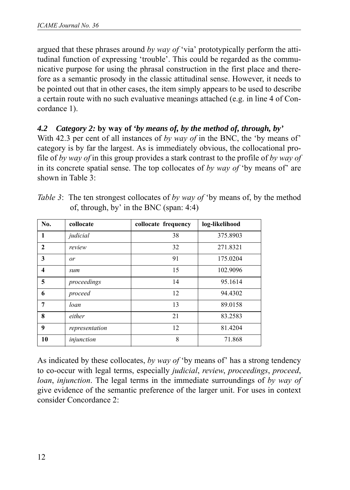argued that these phrases around *by way of* 'via' prototypically perform the attitudinal function of expressing 'trouble'. This could be regarded as the communicative purpose for using the phrasal construction in the first place and therefore as a semantic prosody in the classic attitudinal sense. However, it needs to be pointed out that in other cases, the item simply appears to be used to describe a certain route with no such evaluative meanings attached (e.g. in line 4 of Concordance 1).

# *4.2 Category 2:* **by way of** *'by means of, by the method of, through, by'*

With 42.3 per cent of all instances of *by way of* in the BNC, the 'by means of' category is by far the largest. As is immediately obvious, the collocational profile of *by way of* in this group provides a stark contrast to the profile of *by way of* in its concrete spatial sense. The top collocates of *by way of* 'by means of' are shown in Table 3:

| No.          | collocate      | collocate frequency | log-likelihood |
|--------------|----------------|---------------------|----------------|
| 1            | judicial       | 38                  | 375.8903       |
| $\mathbf{2}$ | review         | 32                  | 271.8321       |
| 3            | or             | 91                  | 175.0204       |
| 4            | sum            | 15                  | 102.9096       |
| 5            | proceedings    | 14                  | 95.1614        |
| 6            | proceed        | 12                  | 94.4302        |
| 7            | loan           | 13                  | 89.0158        |
| 8            | either         | 21                  | 83.2583        |
| 9            | representation | 12                  | 81.4204        |
| 10           | injunction     | 8                   | 71.868         |

*Table 3*: The ten strongest collocates of *by way of* 'by means of, by the method of, through, by' in the BNC (span: 4:4)

As indicated by these collocates, *by way of* 'by means of' has a strong tendency to co-occur with legal terms, especially *judicial*, *review*, *proceedings*, *proceed*, *loan*, *injunction*. The legal terms in the immediate surroundings of *by way of* give evidence of the semantic preference of the larger unit. For uses in context consider Concordance 2: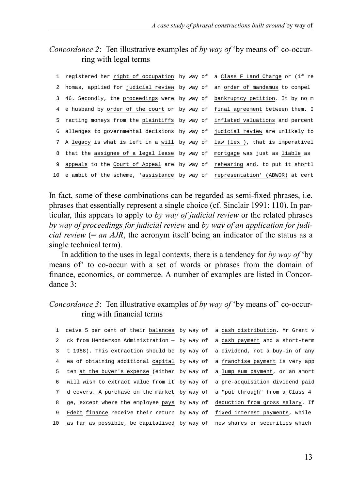## *Concordance 2*: Ten illustrative examples of *by way of* 'by means of' co-occurring with legal terms

|   | 1 registered her right of occupation by way of a Class F Land Charge or (if re  |  |
|---|---------------------------------------------------------------------------------|--|
|   | 2 homas, applied for judicial review by way of an order of mandamus to compel   |  |
|   | 3 46. Secondly, the proceedings were by way of bankruptcy petition. It by no m  |  |
|   | 4 e husband by order of the court or by way of final agreement between them. I  |  |
|   | 5 racting moneys from the plaintiffs by way of inflated valuations and percent  |  |
|   | 6 allenges to governmental decisions by way of judicial review are unlikely to  |  |
|   | 7 A legacy is what is left in a will by way of law (lex), that is imperativel   |  |
|   | 8 that the assignee of a legal lease by way of mortgage was just as liable as   |  |
| 9 | appeals to the Court of Appeal are by way of rehearing and, to put it shortl    |  |
|   | 10 e ambit of the scheme, 'assistance by way of representation' (ABWOR) at cert |  |

In fact, some of these combinations can be regarded as semi-fixed phrases, i.e. phrases that essentially represent a single choice (cf. Sinclair 1991: 110). In particular, this appears to apply to *by way of judicial review* or the related phrases *by way of proceedings for judicial review* and *by way of an application for judicial review* (= *an AJR*, the acronym itself being an indicator of the status as a single technical term).

In addition to the uses in legal contexts, there is a tendency for *by way of* 'by means of' to co-occur with a set of words or phrases from the domain of finance, economics, or commerce. A number of examples are listed in Concordance 3:

### *Concordance 3*: Ten illustrative examples of *by way of* 'by means of' co-occurring with financial terms

|                 | 1 ceive 5 per cent of their balances by way of a cash distribution. Mr Grant v |  |
|-----------------|--------------------------------------------------------------------------------|--|
| $\mathbf{2}$    | ck from Henderson Administration - by way of a cash payment and a short-term   |  |
| 3               | t 1988). This extraction should be by way of a dividend, not a buy-in of any   |  |
| $4\overline{ }$ | ea of obtaining additional capital by way of a franchise payment is very app   |  |
| 5.              | ten at the buyer's expense (either by way of a lump sum payment, or an amort   |  |
|                 | 6 will wish to extract value from it by way of a pre-acquisition dividend paid |  |
| 7               | d covers. A purchase on the market by way of a "put through" from a Class 4    |  |
| 8               | ge, except where the employee pays by way of deduction from gross salary. If   |  |
| 9               | Fdebt finance receive their return by way of fixed interest payments, while    |  |
| 10              | as far as possible, be capitalised by way of new shares or securities which    |  |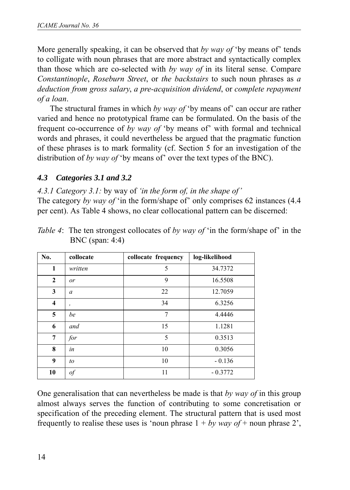More generally speaking, it can be observed that *by way of* 'by means of' tends to colligate with noun phrases that are more abstract and syntactically complex than those which are co-selected with *by way of* in its literal sense. Compare *Constantinople*, *Roseburn Street*, or *the backstairs* to such noun phrases as *a deduction from gross salary*, *a pre-acquisition dividend*, or *complete repayment of a loan*.

The structural frames in which *by way of* 'by means of' can occur are rather varied and hence no prototypical frame can be formulated. On the basis of the frequent co-occurrence of *by way of* 'by means of' with formal and technical words and phrases, it could nevertheless be argued that the pragmatic function of these phrases is to mark formality (cf. Section 5 for an investigation of the distribution of *by way of* 'by means of' over the text types of the BNC).

# *4.3 Categories 3.1 and 3.2*

*4.3.1 Category 3.1:* by way of *'in the form of, in the shape of'* The category *by way of* 'in the form/shape of' only comprises 62 instances (4.4 per cent). As Table 4 shows, no clear collocational pattern can be discerned:

| No.          | collocate | collocate frequency | log-likelihood |
|--------------|-----------|---------------------|----------------|
| $\mathbf{1}$ | written   | 5                   | 34.7372        |
| $\mathbf{2}$ | or        | 9                   | 16.5508        |
| 3            | a         | 22                  | 12.7059        |
| 4            | ,         | 34                  | 6.3256         |
| 5            | be        | $\overline{7}$      | 4.4446         |
| 6            | and       | 15                  | 1.1281         |
| 7            | for       | 5                   | 0.3513         |
| 8            | in        | 10                  | 0.3056         |
| 9            | to        | 10                  | $-0.136$       |
| 10           | of        | 11                  | $-0.3772$      |

*Table 4*: The ten strongest collocates of *by way of* 'in the form/shape of' in the BNC (span: 4:4)

One generalisation that can nevertheless be made is that *by way of* in this group almost always serves the function of contributing to some concretisation or specification of the preceding element. The structural pattern that is used most frequently to realise these uses is 'noun phrase  $1 + by way of + noun phrase 2'$ ,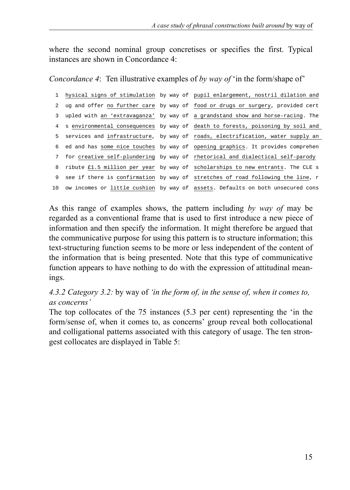where the second nominal group concretises or specifies the first. Typical instances are shown in Concordance 4:

*Concordance 4*: Ten illustrative examples of *by way of* 'in the form/shape of'

```
1 hysical signs of stimulation by way of pupil enlargement, nostril dilation and
2 ug and offer no further care by way of food or drugs or surgery, provided cert
 3 upled with an 'extravaganza' by way of a grandstand show and horse-racing. The 
 4 s environmental consequences by way of death to forests, poisoning by soil and 
 5 services and infrastructure, by way of roads, electrification, water supply an 
 6 ed and has some nice touches by way of opening graphics. It provides comprehen
 7 for creative self-plundering by way of rhetorical and dialectical self-parody
 8 ribute £1.5 million per year by way of scholarships to new entrants. The CLE s
 9 see if there is confirmation by way of stretches of road following the line, r
10 ow incomes or little cushion by way of assets. Defaults on both unsecured cons
```
As this range of examples shows, the pattern including *by way of* may be regarded as a conventional frame that is used to first introduce a new piece of information and then specify the information. It might therefore be argued that the communicative purpose for using this pattern is to structure information; this text-structuring function seems to be more or less independent of the content of the information that is being presented. Note that this type of communicative function appears to have nothing to do with the expression of attitudinal meanings.

### *4.3.2 Category 3.2:* by way of *'in the form of, in the sense of, when it comes to, as concerns'*

The top collocates of the 75 instances (5.3 per cent) representing the 'in the form/sense of, when it comes to, as concerns' group reveal both collocational and colligational patterns associated with this category of usage. The ten strongest collocates are displayed in Table 5: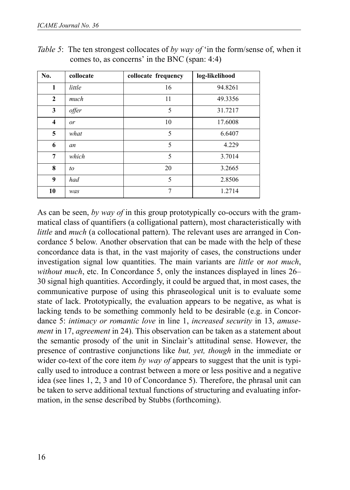| No.            | collocate | collocate frequency | log-likelihood |
|----------------|-----------|---------------------|----------------|
| 1              | little    | 16                  | 94.8261        |
| $\overline{2}$ | much      | 11                  | 49.3356        |
| 3              | offer     | 5                   | 31.7217        |
| 4              | or        | 10                  | 17.6008        |
| 5              | what      | 5                   | 6.6407         |
| 6              | an        | 5                   | 4.229          |
| 7              | which     | 5                   | 3.7014         |
| 8              | to        | 20                  | 3.2665         |
| 9              | had       | 5                   | 2.8506         |
| 10             | was       | 7                   | 1.2714         |

*Table 5*: The ten strongest collocates of *by way of* 'in the form/sense of, when it comes to, as concerns' in the BNC (span: 4:4)

As can be seen, *by way of* in this group prototypically co-occurs with the grammatical class of quantifiers (a colligational pattern), most characteristically with *little* and *much* (a collocational pattern). The relevant uses are arranged in Concordance 5 below. Another observation that can be made with the help of these concordance data is that, in the vast majority of cases, the constructions under investigation signal low quantities. The main variants are *little* or *not much*, *without much*, etc. In Concordance 5, only the instances displayed in lines 26– 30 signal high quantities. Accordingly, it could be argued that, in most cases, the communicative purpose of using this phraseological unit is to evaluate some state of lack. Prototypically, the evaluation appears to be negative, as what is lacking tends to be something commonly held to be desirable (e.g. in Concordance 5: *intimacy or romantic love* in line 1, *increased security* in 13, *amusement* in 17, *agreement* in 24). This observation can be taken as a statement about the semantic prosody of the unit in Sinclair's attitudinal sense. However, the presence of contrastive conjunctions like *but, yet, though* in the immediate or wider co-text of the core item *by way of* appears to suggest that the unit is typically used to introduce a contrast between a more or less positive and a negative idea (see lines 1, 2, 3 and 10 of Concordance 5). Therefore, the phrasal unit can be taken to serve additional textual functions of structuring and evaluating information, in the sense described by Stubbs (forthcoming).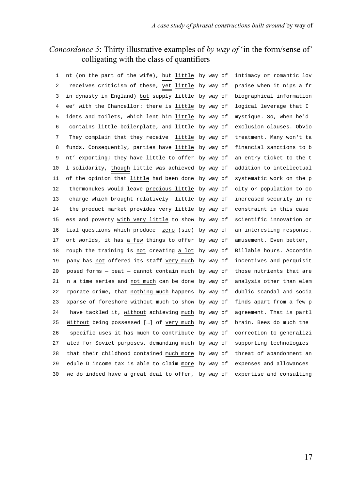# *Concordance 5*: Thirty illustrative examples of *by way of* 'in the form/sense of' colligating with the class of quantifiers

| 1  | nt (on the part of the wife), but little by way of | intimacy or romantic lov |
|----|----------------------------------------------------|--------------------------|
| 2  | receives criticism of these, yet little by way of  | praise when it nips a fr |
| 3  | in dynasty in England) but supply little by way of | biographical information |
| 4  | ee' with the Chancellor: there is little by way of | logical leverage that I  |
| 5  | idets and toilets, which lent him little by way of | mystique. So, when he'd  |
| 6  | contains little boilerplate, and little by way of  | exclusion clauses. Obvio |
| 7  | They complain that they receive little by way of   | treatment. Many won't ta |
| 8  | funds. Consequently, parties have little by way of | financial sanctions to b |
| 9  | nt' exporting; they have little to offer by way of | an entry ticket to the t |
| 10 | 1 solidarity, though little was achieved by way of | addition to intellectual |
| 11 | of the opinion that little had been done by way of | systematic work on the p |
| 12 | thermonukes would leave precious little by way of  | city or population to co |
| 13 | charge which brought relatively little by way of   | increased security in re |
| 14 | the product market provides very little by way of  | constraint in this case  |
| 15 | ess and poverty with very little to show by way of | scientific innovation or |
| 16 | tial questions which produce zero (sic) by way of  | an interesting response. |
| 17 | ort worlds, it has a few things to offer by way of | amusement. Even better,  |
| 18 | rough the training is not creating a lot by way of | Billable hours. Accordin |
| 19 | pany has not offered its staff very much by way of | incentives and perquisit |
| 20 |                                                    |                          |
|    | posed forms - peat - cannot contain much by way of | those nutrients that are |
| 21 | n a time series and not much can be done by way of | analysis other than elem |
| 22 | rporate crime, that nothing much happens by way of | dublic scandal and socia |
| 23 | xpanse of foreshore without much to show by way of | finds apart from a few p |
| 24 | have tackled it, without achieving much by way of  | agreement. That is partl |
| 25 | Without being possessed [] of very much by way of  | brain. Bees do much the  |
| 26 | specific uses it has much to contribute by way of  | correction to generalizi |
| 27 | ated for Soviet purposes, demanding much by way of | supporting technologies  |
| 28 | that their childhood contained much more by way of | threat of abandonment an |
| 29 | edule D income tax is able to claim more by way of | expenses and allowances  |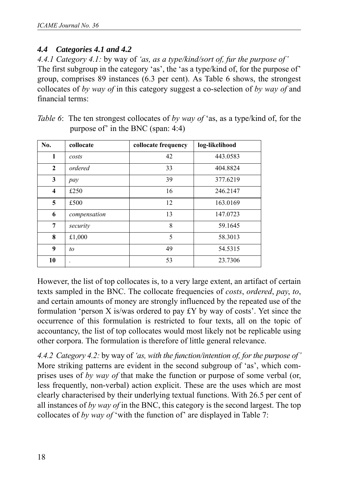## *4.4 Categories 4.1 and 4.2*

*4.4.1 Category 4.1:* by way of *'as, as a type/kind/sort of, fur the purpose of'* The first subgroup in the category 'as', the 'as a type/kind of, for the purpose of' group, comprises 89 instances (6.3 per cent). As Table 6 shows, the strongest collocates of *by way of* in this category suggest a co-selection of *by way of* and financial terms:

| No.          | collocate                | collocate frequency | log-likelihood |
|--------------|--------------------------|---------------------|----------------|
| 1            | costs                    | 42                  | 443.0583       |
| $\mathbf{2}$ | ordered                  | 33                  | 404.8824       |
| 3            | pay                      | 39                  | 377.6219       |
| 4            | £250                     | 16                  | 246.2147       |
| 5            | £500                     | 12                  | 163.0169       |
| 6            | compensation             | 13                  | 147.0723       |
| 7            | security                 | 8                   | 59.1645        |
| 8            | £1,000                   | 5                   | 58.3013        |
| 9            | to                       | 49                  | 54.5315        |
| 10           | $\overline{\phantom{a}}$ | 53                  | 23.7306        |

| <i>Table 6</i> : The ten strongest collocates of by way of 'as, as a type/kind of, for the |
|--------------------------------------------------------------------------------------------|
| purpose of $\dot{ }$ in the BNC (span: 4:4)                                                |

However, the list of top collocates is, to a very large extent, an artifact of certain texts sampled in the BNC. The collocate frequencies of *costs*, *ordered*, *pay*, *to*, and certain amounts of money are strongly influenced by the repeated use of the formulation 'person X is/was ordered to pay £Y by way of costs'. Yet since the occurrence of this formulation is restricted to four texts, all on the topic of accountancy, the list of top collocates would most likely not be replicable using other corpora. The formulation is therefore of little general relevance.

*4.4.2 Category 4.2:* by way of *'as, with the function/intention of, for the purpose of'* More striking patterns are evident in the second subgroup of 'as', which comprises uses of *by way of* that make the function or purpose of some verbal (or, less frequently, non-verbal) action explicit. These are the uses which are most clearly characterised by their underlying textual functions. With 26.5 per cent of all instances of *by way of* in the BNC, this category is the second largest. The top collocates of *by way of* 'with the function of' are displayed in Table 7: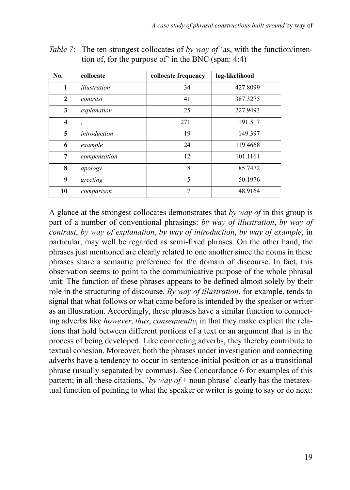| No.                     | collocate    | collocate frequency | log-likelihood |
|-------------------------|--------------|---------------------|----------------|
| 1                       | illustration | 34                  | 427.8099       |
| $\mathbf{2}$            | contrast     | 41                  | 387.3275       |
| 3                       | explanation  | 25                  | 227.9493       |
| $\overline{\mathbf{4}}$ | $\cdot$      | 271                 | 191.517        |
| 5                       | introduction | 19                  | 149.397        |
| 6                       | example      | 24                  | 119.4668       |
| 7                       | compensation | 12                  | 101.1161       |
| 8                       | apology      | 8                   | 85.7472        |
| 9                       | greeting     | 5                   | 50.1976        |
| 10                      | comparison   | $\overline{7}$      | 48.9164        |

*Table 7*: The ten strongest collocates of *by way of* 'as, with the function/intention of, for the purpose of' in the BNC (span: 4:4)

A glance at the strongest collocates demonstrates that *by way of* in this group is part of a number of conventional phrasings: *by way of illustration*, *by way of contrast*, *by way of explanation*, *by way of introduction*, *by way of example*, in particular, may well be regarded as semi-fixed phrases. On the other hand, the phrases just mentioned are clearly related to one another since the nouns in these phrases share a semantic preference for the domain of discourse. In fact, this observation seems to point to the communicative purpose of the whole phrasal unit: The function of these phrases appears to be defined almost solely by their role in the structuring of discourse. *By way of illustration*, for example, tends to signal that what follows or what came before is intended by the speaker or writer as an illustration. Accordingly, these phrases have a similar function to connecting adverbs like *however*, *thus*, *consequently*, in that they make explicit the relations that hold between different portions of a text or an argument that is in the process of being developed. Like connecting adverbs, they thereby contribute to textual cohesion. Moreover, both the phrases under investigation and connecting adverbs have a tendency to occur in sentence-initial position or as a transitional phrase (usually separated by commas). See Concordance 6 for examples of this pattern; in all these citations, '*by way of* + noun phrase' clearly has the metatextual function of pointing to what the speaker or writer is going to say or do next: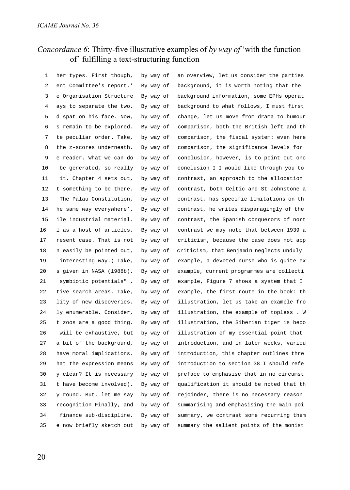# *Concordance 6*: Thirty-five illustrative examples of *by way of* 'with the function of' fulfilling a text-structuring function

| 1  | her types. First though, | by way of | an overview, let us consider the parties |
|----|--------------------------|-----------|------------------------------------------|
| 2  | ent Committee's report.' | By way of | background, it is worth noting that the  |
| 3  | e Organisation Structure | By way of | background information, some EPHs operat |
| 4  | ays to separate the two. | By way of | background to what follows, I must first |
| 5  | d spat on his face. Now, | by way of | change, let us move from drama to humour |
| 6  | s remain to be explored. | By way of | comparison, both the British left and th |
| 7  | te peculiar order. Take, | by way of | comparison, the fiscal system: even here |
| 8  | the z-scores underneath. | By way of | comparison, the significance levels for  |
| 9  | e reader. What we can do | by way of | conclusion, however, is to point out onc |
| 10 | be generated, so really  | by way of | conclusion I I would like through you to |
| 11 | it. Chapter 4 sets out,  | by way of | contrast, an approach to the allocation  |
| 12 | t something to be there. | By way of | contrast, both Celtic and St Johnstone a |
| 13 | The Palau Constitution,  | by way of | contrast, has specific limitations on th |
| 14 | he same way everywhere'. | By way of | contrast, he writes disparagingly of the |
| 15 | ile industrial material. | By way of | contrast, the Spanish conquerors of nort |
| 16 | l as a host of articles. | By way of | contrast we may note that between 1939 a |
| 17 | resent case. That is not | by way of | criticism, because the case does not app |
| 18 | n easily be pointed out, | by way of | criticism, that Benjamin neglects unduly |
| 19 | interesting way.) Take,  | by way of | example, a devoted nurse who is quite ex |
| 20 | s given in NASA (1988b). | By way of | example, current programmes are collecti |
| 21 | symbiotic potentials".   | By way of | example, Figure 7 shows a system that I  |
| 22 | tive search areas. Take, | by way of | example, the first route in the book: th |
| 23 | lity of new discoveries. | By way of | illustration, let us take an example fro |
| 24 | ly enumerable. Consider, | by way of | illustration, the example of topless. W  |
| 25 | t zoos are a good thing. | By way of | illustration, the Siberian tiger is beco |
| 26 | will be exhaustive, but  | by way of | illustration of my essential point that  |
| 27 | a bit of the background, | by way of | introduction, and in later weeks, variou |
| 28 | have moral implications. | By way of | introduction, this chapter outlines thre |
| 29 | hat the expression means | By way of | introduction to section 38 I should refe |
| 30 | y clear? It is necessary | by way of | preface to emphasise that in no circumst |
| 31 | t have become involved). | By way of | qualification it should be noted that th |
| 32 | y round. But, let me say | by way of | rejoinder, there is no necessary reason  |
| 33 | recognition Finally, and | by way of | summarising and emphasising the main poi |
| 34 | finance sub-discipline.  | By way of | summary, we contrast some recurring them |
| 35 | e now briefly sketch out | by way of | summary the salient points of the monist |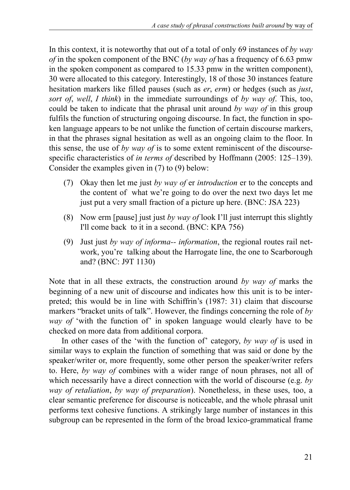In this context, it is noteworthy that out of a total of only 69 instances of *by way of* in the spoken component of the BNC (*by way of* has a frequency of 6.63 pmw in the spoken component as compared to 15.33 pmw in the written component), 30 were allocated to this category. Interestingly, 18 of those 30 instances feature hesitation markers like filled pauses (such as *er*, *erm*) or hedges (such as *just*, *sort of*, *well*, *I think*) in the immediate surroundings of *by way of*. This, too, could be taken to indicate that the phrasal unit around *by way of* in this group fulfils the function of structuring ongoing discourse. In fact, the function in spoken language appears to be not unlike the function of certain discourse markers, in that the phrases signal hesitation as well as an ongoing claim to the floor. In this sense, the use of *by way of* is to some extent reminiscent of the discoursespecific characteristics of *in terms of* described by Hoffmann (2005: 125–139). Consider the examples given in (7) to (9) below:

- (7) Okay then let me just *by way of* er *introduction* er to the concepts and the content of what we're going to do over the next two days let me just put a very small fraction of a picture up here. (BNC: JSA 223)
- (8) Now erm [pause] just just *by way of* look I'll just interrupt this slightly I'll come back to it in a second. (BNC: KPA 756)
- (9) Just just *by way of informa-- information*, the regional routes rail network, you're talking about the Harrogate line, the one to Scarborough and? (BNC: J9T 1130)

Note that in all these extracts, the construction around *by way of* marks the beginning of a new unit of discourse and indicates how this unit is to be interpreted; this would be in line with Schiffrin's (1987: 31) claim that discourse markers "bracket units of talk". However, the findings concerning the role of *by way of* 'with the function of' in spoken language would clearly have to be checked on more data from additional corpora.

In other cases of the 'with the function of' category, *by way of* is used in similar ways to explain the function of something that was said or done by the speaker/writer or, more frequently, some other person the speaker/writer refers to. Here, *by way of* combines with a wider range of noun phrases, not all of which necessarily have a direct connection with the world of discourse (e.g. *by way of retaliation*, *by way of preparation*). Nonetheless, in these uses, too, a clear semantic preference for discourse is noticeable, and the whole phrasal unit performs text cohesive functions. A strikingly large number of instances in this subgroup can be represented in the form of the broad lexico-grammatical frame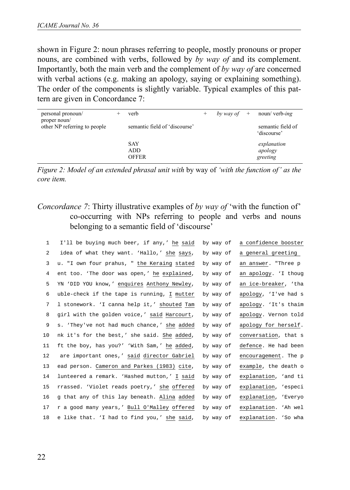shown in Figure 2: noun phrases referring to people, mostly pronouns or proper nouns, are combined with verbs, followed by *by way of* and its complement. Importantly, both the main verb and the complement of *by way of* are concerned with verbal actions (e.g. making an apology, saying or explaining something). The order of the components is slightly variable. Typical examples of this pattern are given in Concordance 7:

| personal pronoun/<br>proper noun/ | verb                              | by way of $+$ | noun/ verb-ing                     |
|-----------------------------------|-----------------------------------|---------------|------------------------------------|
| other NP referring to people      | semantic field of 'discourse'     |               | semantic field of<br>'discourse'   |
|                                   | <b>SAY</b><br>ADD<br><b>OFFER</b> |               | explanation<br>apology<br>greeting |

*Figure 2: Model of an extended phrasal unit with* by way of *'with the function of' as the core item.*

## *Concordance 7*: Thirty illustrative examples of *by way of* 'with the function of' co-occurring with NPs referring to people and verbs and nouns belonging to a semantic field of 'discourse'

| $\mathbf{1}$ | I'll be buying much beer, if any,' he said  | by way of | a confidence booster |
|--------------|---------------------------------------------|-----------|----------------------|
| 2            | idea of what they want. 'Hallo,' she says,  | by way of | a general greeting   |
| 3            | u. "I own four prahus, " the Keraing stated | by way of | an answer. "Three p  |
| 4            | ent too. 'The door was open,' he explained, | by way of | an apology. 'I thoug |
| 5            | YN 'DID YOU know,' enquires Anthony Newley, | by way of | an ice-breaker, 'tha |
| 6            | uble-check if the tape is running, I mutter | by way of | apology, 'I've had s |
| 7            | l stonework. 'I canna help it,' shouted Tam | by way of | apology. 'It's thaim |
| 8            | girl with the golden voice,' said Harcourt, | by way of | apology. Vernon told |
| 9            | s. 'They've not had much chance,' she added | by way of | apology for herself. |
| 10           | nk it's for the best,' she said. She added, | by way of | conversation, that s |
| 11           | ft the boy, has you?' 'With Sam,' he added, | by way of | defence. He had been |
| 12           | are important ones,' said director Gabriel  | by way of | encouragement. The p |
| 13           | ead person. Cameron and Parkes (1983) cite, | by way of | example, the death o |
| 14           | lunteered a remark. 'Hashed mutton,' I said | by way of | explanation, 'and ti |
| 15           | rrassed. 'Violet reads poetry,' she offered | by way of | explanation, 'especi |
| 16           | q that any of this lay beneath. Alina added | by way of | explanation, 'Everyo |
| 17           | r a good many years,' Bull O'Malley offered | by way of | explanation. 'Ah wel |
| 18           | e like that. 'I had to find you,' she said, | by way of | explanation. 'So wha |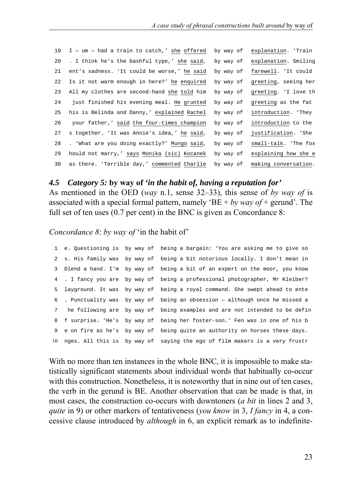| 19 | $I - um - had a train to catch.' she offered by way of$ |           | explanation. 'Train  |
|----|---------------------------------------------------------|-----------|----------------------|
| 20 | . I think he's the bashful type,' she said,             | by way of | explanation. Smiling |
| 21 | ent's sadness. 'It could be worse,' he said             | by way of | farewell. 'It could  |
| 22 | Is it not warm enough in here?' he enquired             | by way of | greeting, seeing her |
| 23 | All my clothes are second-hand she told him             | by way of | greeting. 'I love th |
| 24 | just finished his evening meal. He grunted              | by way of | greeting as the fat  |
| 25 | his is Belinda and Danny,' explained Rachel             | by way of | introduction. 'They  |
| 26 | your father,' said the four-times champion              | by way of | introduction to the  |
| 27 | s together. 'It was Annie's idea,' he said,             | by way of | justification. 'She  |
| 28 | . 'What are you doing exactly?' Mungo said,             | by way of | small-talk. 'The fox |
| 29 | hould not marry,' says Monika (sic) Kocanek             | by way of | explaining how she e |
| 30 | as there. 'Terrible day,' commented Charlie             | by way of | making conversation. |

#### *4.5 Category 5:* **by way of** *'in the habit of, having a reputation for'*

As mentioned in the OED (*way* n.1, sense 32–33), this sense of *by way of* is associated with a special formal pattern, namely 'BE + *by way of* + gerund'. The full set of ten uses (0.7 per cent) in the BNC is given as Concordance 8:

*Concordance 8*: *by way of* 'in the habit of'

|             |  | 1 e. Questioning is by way of being a bargain: 'You are asking me to give so  |
|-------------|--|-------------------------------------------------------------------------------|
|             |  | 2 s. His family was by way of being a bit notorious locally. I don't mean in  |
|             |  | 3 Dlend a hand. I'm by way of being a bit of an expert on the moor, you know  |
|             |  | 4. I fancy you are by way of being a professional photographer, Mr Kleiber?   |
|             |  | 5 layground. It was by way of being a royal command. She swept ahead to ente  |
|             |  | 6 . Punctuality was by way of being an obsession - although once he missed a  |
| $7^{\circ}$ |  | he following are by way of being examples and are not intended to be defin    |
|             |  | 8 f surprise. 'He's by way of being her foster-son.' Fen was in one of his b  |
|             |  | 9 e on fire as he's by way of being quite an authority on horses these days.  |
|             |  | 10 nges. All this is by way of saying the ego of film makers is a very frustr |

With no more than ten instances in the whole BNC, it is impossible to make statistically significant statements about individual words that habitually co-occur with this construction. Nonetheless, it is noteworthy that in nine out of ten cases, the verb in the gerund is BE. Another observation that can be made is that, in most cases, the construction co-occurs with downtoners (*a bit* in lines 2 and 3, *quite* in 9) or other markers of tentativeness (*you know* in 3, *I fancy* in 4, a concessive clause introduced by *although* in 6, an explicit remark as to indefinite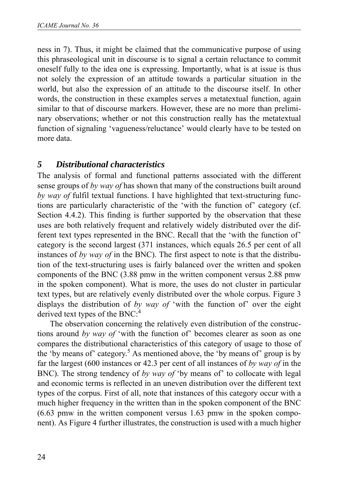ness in 7). Thus, it might be claimed that the communicative purpose of using this phraseological unit in discourse is to signal a certain reluctance to commit oneself fully to the idea one is expressing. Importantly, what is at issue is thus not solely the expression of an attitude towards a particular situation in the world, but also the expression of an attitude to the discourse itself. In other words, the construction in these examples serves a metatextual function, again similar to that of discourse markers. However, these are no more than preliminary observations; whether or not this construction really has the metatextual function of signaling 'vagueness/reluctance' would clearly have to be tested on more data.

# *5 Distributional characteristics*

The analysis of formal and functional patterns associated with the different sense groups of *by way of* has shown that many of the constructions built around *by way of* fulfil textual functions. I have highlighted that text-structuring functions are particularly characteristic of the 'with the function of' category (cf. Section 4.4.2). This finding is further supported by the observation that these uses are both relatively frequent and relatively widely distributed over the different text types represented in the BNC. Recall that the 'with the function of' category is the second largest (371 instances, which equals 26.5 per cent of all instances of *by way of* in the BNC). The first aspect to note is that the distribution of the text-structuring uses is fairly balanced over the written and spoken components of the BNC (3.88 pmw in the written component versus 2.88 pmw in the spoken component). What is more, the uses do not cluster in particular text types, but are relatively evenly distributed over the whole corpus. Figure 3 displays the distribution of *by way of* 'with the function of' over the eight derived text types of the BNC: $4$ 

The observation concerning the relatively even distribution of the constructions around *by way of* 'with the function of' becomes clearer as soon as one compares the distributional characteristics of this category of usage to those of the 'by means of' category.<sup>5</sup> As mentioned above, the 'by means of' group is by far the largest (600 instances or 42.3 per cent of all instances of *by way of* in the BNC). The strong tendency of *by way of* 'by means of' to collocate with legal and economic terms is reflected in an uneven distribution over the different text types of the corpus. First of all, note that instances of this category occur with a much higher frequency in the written than in the spoken component of the BNC (6.63 pmw in the written component versus 1.63 pmw in the spoken component). As Figure 4 further illustrates, the construction is used with a much higher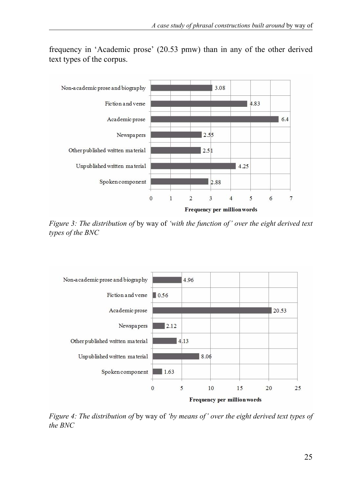

frequency in 'Academic prose' (20.53 pmw) than in any of the other derived text types of the corpus.

*Figure 3: The distribution of* by way of *'with the function of' over the eight derived text types of the BNC*



*Figure 4: The distribution of* by way of *'by means of' over the eight derived text types of the BNC*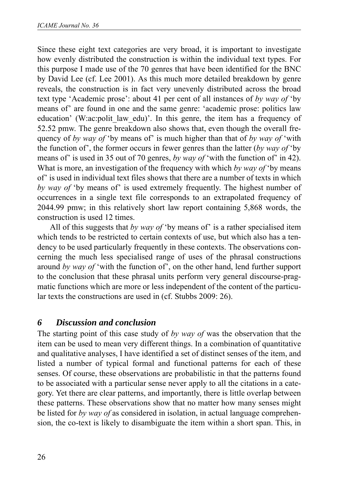Since these eight text categories are very broad, it is important to investigate how evenly distributed the construction is within the individual text types. For this purpose I made use of the 70 genres that have been identified for the BNC by David Lee (cf. Lee 2001). As this much more detailed breakdown by genre reveals, the construction is in fact very unevenly distributed across the broad text type 'Academic prose': about 41 per cent of all instances of *by way of* 'by means of' are found in one and the same genre: 'academic prose: politics law education' (W:ac:polit law edu)'. In this genre, the item has a frequency of 52.52 pmw. The genre breakdown also shows that, even though the overall frequency of *by way of* 'by means of' is much higher than that of *by way of* 'with the function of', the former occurs in fewer genres than the latter (*by way of* 'by means of' is used in 35 out of 70 genres, *by way of* 'with the function of' in 42). What is more, an investigation of the frequency with which *by way of* 'by means of' is used in individual text files shows that there are a number of texts in which *by way of* 'by means of' is used extremely frequently. The highest number of occurrences in a single text file corresponds to an extrapolated frequency of 2044.99 pmw; in this relatively short law report containing 5,868 words, the construction is used 12 times.

All of this suggests that *by way of* 'by means of' is a rather specialised item which tends to be restricted to certain contexts of use, but which also has a tendency to be used particularly frequently in these contexts. The observations concerning the much less specialised range of uses of the phrasal constructions around *by way of* 'with the function of', on the other hand, lend further support to the conclusion that these phrasal units perform very general discourse-pragmatic functions which are more or less independent of the content of the particular texts the constructions are used in (cf. Stubbs 2009: 26).

# *6 Discussion and conclusion*

The starting point of this case study of *by way of* was the observation that the item can be used to mean very different things. In a combination of quantitative and qualitative analyses, I have identified a set of distinct senses of the item, and listed a number of typical formal and functional patterns for each of these senses. Of course, these observations are probabilistic in that the patterns found to be associated with a particular sense never apply to all the citations in a category. Yet there are clear patterns, and importantly, there is little overlap between these patterns. These observations show that no matter how many senses might be listed for *by way of* as considered in isolation, in actual language comprehension, the co-text is likely to disambiguate the item within a short span. This, in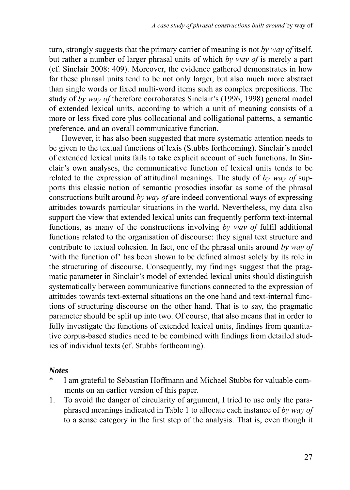turn, strongly suggests that the primary carrier of meaning is not *by way of* itself, but rather a number of larger phrasal units of which *by way of* is merely a part (cf. Sinclair 2008: 409). Moreover, the evidence gathered demonstrates in how far these phrasal units tend to be not only larger, but also much more abstract than single words or fixed multi-word items such as complex prepositions. The study of *by way of* therefore corroborates Sinclair's (1996, 1998) general model of extended lexical units, according to which a unit of meaning consists of a more or less fixed core plus collocational and colligational patterns, a semantic preference, and an overall communicative function.

However, it has also been suggested that more systematic attention needs to be given to the textual functions of lexis (Stubbs forthcoming). Sinclair's model of extended lexical units fails to take explicit account of such functions. In Sinclair's own analyses, the communicative function of lexical units tends to be related to the expression of attitudinal meanings. The study of *by way of* supports this classic notion of semantic prosodies insofar as some of the phrasal constructions built around *by way of* are indeed conventional ways of expressing attitudes towards particular situations in the world. Nevertheless, my data also support the view that extended lexical units can frequently perform text-internal functions, as many of the constructions involving *by way of* fulfil additional functions related to the organisation of discourse: they signal text structure and contribute to textual cohesion. In fact, one of the phrasal units around *by way of* 'with the function of' has been shown to be defined almost solely by its role in the structuring of discourse. Consequently, my findings suggest that the pragmatic parameter in Sinclair's model of extended lexical units should distinguish systematically between communicative functions connected to the expression of attitudes towards text-external situations on the one hand and text-internal functions of structuring discourse on the other hand. That is to say, the pragmatic parameter should be split up into two. Of course, that also means that in order to fully investigate the functions of extended lexical units, findings from quantitative corpus-based studies need to be combined with findings from detailed studies of individual texts (cf. Stubbs forthcoming).

#### *Notes*

- I am grateful to Sebastian Hoffmann and Michael Stubbs for valuable comments on an earlier version of this paper.
- 1. To avoid the danger of circularity of argument, I tried to use only the paraphrased meanings indicated in Table 1 to allocate each instance of *by way of* to a sense category in the first step of the analysis. That is, even though it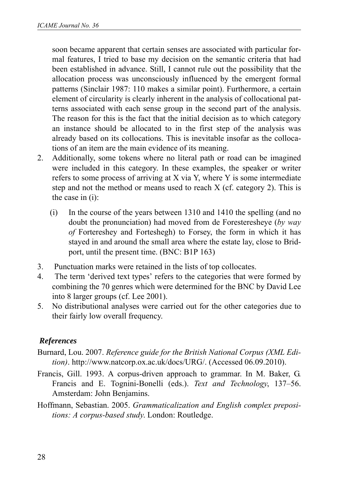soon became apparent that certain senses are associated with particular formal features, I tried to base my decision on the semantic criteria that had been established in advance. Still, I cannot rule out the possibility that the allocation process was unconsciously influenced by the emergent formal patterns (Sinclair 1987: 110 makes a similar point). Furthermore, a certain element of circularity is clearly inherent in the analysis of collocational patterns associated with each sense group in the second part of the analysis. The reason for this is the fact that the initial decision as to which category an instance should be allocated to in the first step of the analysis was already based on its collocations. This is inevitable insofar as the collocations of an item are the main evidence of its meaning.

- 2. Additionally, some tokens where no literal path or road can be imagined were included in this category. In these examples, the speaker or writer refers to some process of arriving at X via Y, where Y is some intermediate step and not the method or means used to reach X (cf. category 2). This is the case in (i):
	- (i) In the course of the years between 1310 and 1410 the spelling (and no doubt the pronunciation) had moved from de Foresteresheye (*by way of* Fortereshey and Forteshegh) to Forsey, the form in which it has stayed in and around the small area where the estate lay, close to Bridport, until the present time. (BNC: B1P 163)
- 3. Punctuation marks were retained in the lists of top collocates.
- 4. The term 'derived text types' refers to the categories that were formed by combining the 70 genres which were determined for the BNC by David Lee into 8 larger groups (cf. Lee 2001).
- 5. No distributional analyses were carried out for the other categories due to their fairly low overall frequency.

### *References*

- Burnard, Lou. 2007. *Reference guide for the British National Corpus (XML Edition)*. http://www.natcorp.ox.ac.uk/docs/URG/. (Accessed 06.09.2010).
- Francis, Gill. 1993. A corpus-driven approach to grammar. In M. Baker, G. Francis and E. Tognini-Bonelli (eds.). *Text and Technology*, 137–56. Amsterdam: John Benjamins.
- Hoffmann, Sebastian. 2005. *Grammaticalization and English complex prepositions: A corpus-based study*. London: Routledge.